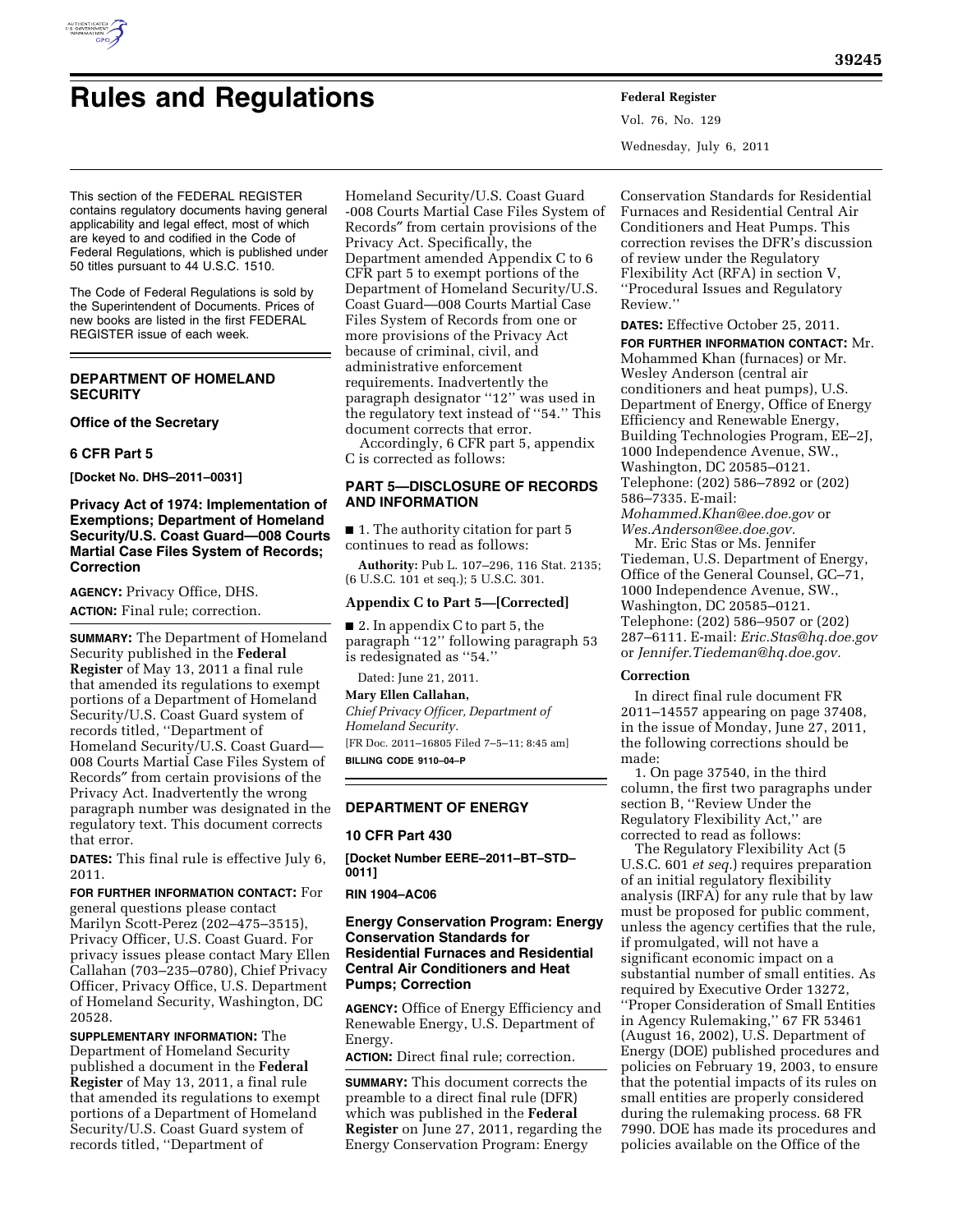

# **Rules and Regulations Federal Register**

Vol. 76, No. 129 Wednesday, July 6, 2011

This section of the FEDERAL REGISTER contains regulatory documents having general applicability and legal effect, most of which are keyed to and codified in the Code of Federal Regulations, which is published under 50 titles pursuant to 44 U.S.C. 1510.

The Code of Federal Regulations is sold by the Superintendent of Documents. Prices of new books are listed in the first FEDERAL REGISTER issue of each week.

# **DEPARTMENT OF HOMELAND SECURITY**

### **Office of the Secretary**

## **6 CFR Part 5**

**[Docket No. DHS–2011–0031]** 

## **Privacy Act of 1974: Implementation of Exemptions; Department of Homeland Security/U.S. Coast Guard—008 Courts Martial Case Files System of Records; Correction**

**AGENCY:** Privacy Office, DHS. **ACTION:** Final rule; correction.

**SUMMARY:** The Department of Homeland Security published in the **Federal Register** of May 13, 2011 a final rule that amended its regulations to exempt portions of a Department of Homeland Security/U.S. Coast Guard system of records titled, ''Department of Homeland Security/U.S. Coast Guard— 008 Courts Martial Case Files System of Records″ from certain provisions of the Privacy Act. Inadvertently the wrong paragraph number was designated in the regulatory text. This document corrects that error.

**DATES:** This final rule is effective July 6, 2011.

**FOR FURTHER INFORMATION CONTACT:** For general questions please contact Marilyn Scott-Perez (202–475–3515), Privacy Officer, U.S. Coast Guard. For privacy issues please contact Mary Ellen Callahan (703–235–0780), Chief Privacy Officer, Privacy Office, U.S. Department of Homeland Security, Washington, DC 20528.

**SUPPLEMENTARY INFORMATION:** The Department of Homeland Security published a document in the **Federal Register** of May 13, 2011, a final rule that amended its regulations to exempt portions of a Department of Homeland Security/U.S. Coast Guard system of records titled, ''Department of

Homeland Security/U.S. Coast Guard -008 Courts Martial Case Files System of Records″ from certain provisions of the Privacy Act. Specifically, the Department amended Appendix C to 6 CFR part 5 to exempt portions of the Department of Homeland Security/U.S. Coast Guard—008 Courts Martial Case Files System of Records from one or more provisions of the Privacy Act because of criminal, civil, and administrative enforcement requirements. Inadvertently the paragraph designator ''12'' was used in the regulatory text instead of ''54.'' This document corrects that error.

Accordingly, 6 CFR part 5, appendix C is corrected as follows:

# **PART 5—DISCLOSURE OF RECORDS AND INFORMATION**

■ 1. The authority citation for part 5 continues to read as follows:

**Authority:** Pub L. 107–296, 116 Stat. 2135; (6 U.S.C. 101 et seq.); 5 U.S.C. 301.

### **Appendix C to Part 5—[Corrected]**

■ 2. In appendix C to part 5, the paragraph ''12'' following paragraph 53 is redesignated as ''54.''

Dated: June 21, 2011.

# **Mary Ellen Callahan,**

*Chief Privacy Officer, Department of Homeland Security.* 

[FR Doc. 2011–16805 Filed 7–5–11; 8:45 am] **BILLING CODE 9110–04–P** 

# **DEPARTMENT OF ENERGY**

### **10 CFR Part 430**

**[Docket Number EERE–2011–BT–STD– 0011]** 

## **RIN 1904–AC06**

## **Energy Conservation Program: Energy Conservation Standards for Residential Furnaces and Residential Central Air Conditioners and Heat Pumps; Correction**

**AGENCY:** Office of Energy Efficiency and Renewable Energy, U.S. Department of Energy.

**ACTION:** Direct final rule; correction.

**SUMMARY:** This document corrects the preamble to a direct final rule (DFR) which was published in the **Federal Register** on June 27, 2011, regarding the Energy Conservation Program: Energy

Conservation Standards for Residential Furnaces and Residential Central Air Conditioners and Heat Pumps. This correction revises the DFR's discussion of review under the Regulatory Flexibility Act (RFA) in section V, ''Procedural Issues and Regulatory Review.''

**DATES:** Effective October 25, 2011. **FOR FURTHER INFORMATION CONTACT:** Mr. Mohammed Khan (furnaces) or Mr. Wesley Anderson (central air conditioners and heat pumps), U.S. Department of Energy, Office of Energy Efficiency and Renewable Energy, Building Technologies Program, EE–2J, 1000 Independence Avenue, SW., Washington, DC 20585–0121. Telephone: (202) 586–7892 or (202) 586–7335. E-mail: *[Mohammed.Khan@ee.doe.gov](mailto:Mohammed.Khan@ee.doe.gov)* or

*[Wes.Anderson@ee.doe.gov.](mailto:Wes.Anderson@ee.doe.gov)*  Mr. Eric Stas or Ms. Jennifer

Tiedeman, U.S. Department of Energy, Office of the General Counsel, GC–71, 1000 Independence Avenue, SW., Washington, DC 20585–0121. Telephone: (202) 586–9507 or (202) 287–6111. E-mail: *[Eric.Stas@hq.doe.gov](mailto:Eric.Stas@hq.doe.gov)*  or *[Jennifer.Tiedeman@hq.doe.gov.](mailto:Jennifer.Tiedeman@hq.doe.gov)* 

### **Correction**

In direct final rule document FR 2011–14557 appearing on page 37408, in the issue of Monday, June 27, 2011, the following corrections should be made:

1. On page 37540, in the third column, the first two paragraphs under section B, ''Review Under the Regulatory Flexibility Act,'' are corrected to read as follows:

The Regulatory Flexibility Act (5 U.S.C. 601 *et seq.*) requires preparation of an initial regulatory flexibility analysis (IRFA) for any rule that by law must be proposed for public comment, unless the agency certifies that the rule, if promulgated, will not have a significant economic impact on a substantial number of small entities. As required by Executive Order 13272, ''Proper Consideration of Small Entities in Agency Rulemaking,'' 67 FR 53461 (August 16, 2002), U.S. Department of Energy (DOE) published procedures and policies on February 19, 2003, to ensure that the potential impacts of its rules on small entities are properly considered during the rulemaking process. 68 FR 7990. DOE has made its procedures and policies available on the Office of the